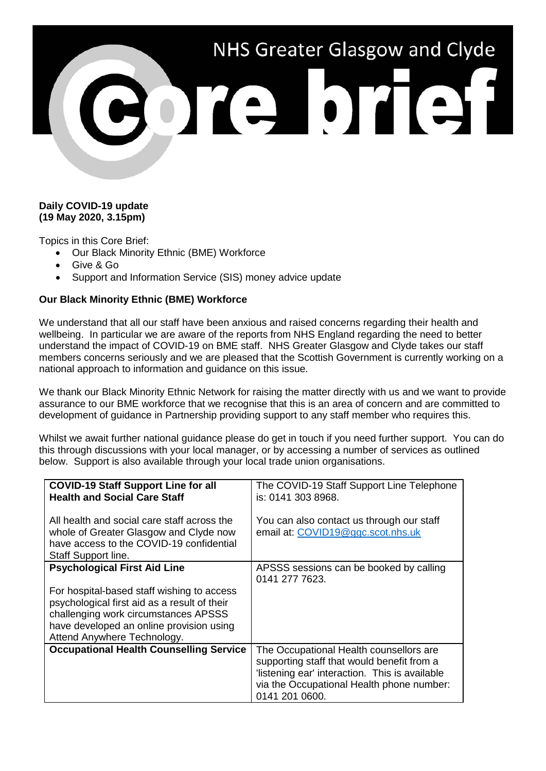

## **Daily COVID-19 update (19 May 2020, 3.15pm)**

Topics in this Core Brief:

- Our Black Minority Ethnic (BME) Workforce
- Give & Go
- Support and Information Service (SIS) money advice update

## **Our Black Minority Ethnic (BME) Workforce**

We understand that all our staff have been anxious and raised concerns regarding their health and wellbeing. In particular we are aware of the reports from NHS England regarding the need to better understand the impact of COVID-19 on BME staff. NHS Greater Glasgow and Clyde takes our staff members concerns seriously and we are pleased that the Scottish Government is currently working on a national approach to information and guidance on this issue.

We thank our Black Minority Ethnic Network for raising the matter directly with us and we want to provide assurance to our BME workforce that we recognise that this is an area of concern and are committed to development of guidance in Partnership providing support to any staff member who requires this.

Whilst we await further national guidance please do get in touch if you need further support. You can do this through discussions with your local manager, or by accessing a number of services as outlined below. Support is also available through your local trade union organisations.

| <b>COVID-19 Staff Support Line for all</b><br><b>Health and Social Care Staff</b>                                                                        | The COVID-19 Staff Support Line Telephone<br>is: 0141 303 8968.                       |
|----------------------------------------------------------------------------------------------------------------------------------------------------------|---------------------------------------------------------------------------------------|
| All health and social care staff across the<br>whole of Greater Glasgow and Clyde now<br>have access to the COVID-19 confidential<br>Staff Support line. | You can also contact us through our staff<br>email at: COVID19@ggc.scot.nhs.uk        |
| <b>Psychological First Aid Line</b>                                                                                                                      | APSSS sessions can be booked by calling<br>0141 277 7623.                             |
| For hospital-based staff wishing to access<br>psychological first aid as a result of their                                                               |                                                                                       |
| challenging work circumstances APSSS                                                                                                                     |                                                                                       |
| have developed an online provision using<br>Attend Anywhere Technology.                                                                                  |                                                                                       |
| <b>Occupational Health Counselling Service</b>                                                                                                           | The Occupational Health counsellors are<br>supporting staff that would benefit from a |
|                                                                                                                                                          | 'listening ear' interaction. This is available                                        |
|                                                                                                                                                          | via the Occupational Health phone number:<br>0141 201 0600.                           |